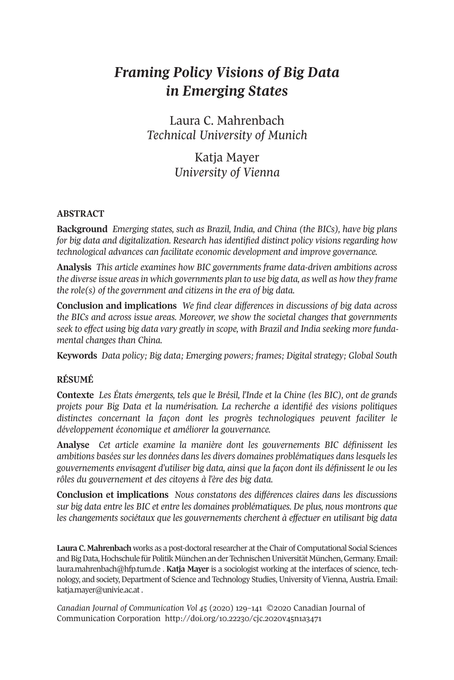# *Framing Policy Visions of Big Data in Emerging States*

Laura C. Mahrenbach *Technical University of Munich*

# Katja Mayer *University of Vienna*

# **ABSTRACT**

**Background** *Emerging states, such as Brazil, India, and China (the BICs), have big plans for big data and digitalization. Research has identified distinct policy visions regarding how technological advances can facilitate economic development and improve governance.*

**Analysis** *This article examines how BIC governments frame data-driven ambitions across the diverse issue areasin which governments plan to use big data, as well as how they frame the role(s) of the government and citizens in the era of big data.*

**Conclusion and implications** *We find clear differences in discussions of big data across the BICs and across issue areas. Moreover, we show the societal changes that governments seek to effect using big data vary greatly in scope, with Brazil and India seeking more fundamental changes than China.*

**Keywords** *Data policy; Big data; Emerging powers; frames; Digital strategy; Global South*

# **RÉSUMÉ**

**Contexte** *Les États émergents, tels que le Brésil, l'Inde et la Chine (les BIC), ont de grands projets pour Big Data et la numérisation. La recherche a identifié des visions politiques distinctes concernant la façon dont les progrès technologiques peuvent faciliter le développement économique et améliorer la gouvernance.*

**Analyse** *Cet article examine la manière dont les gouvernements BIC définissent les ambitions basées sur les données dans les divers domaines problématiques dans lesquels les gouvernements envisagent d'utiliser big data, ainsi que la façon dont ils définissent le ou les rôles du gouvernement et des citoyens à l'ère des big data.*

**Conclusion et implications** *Nous constatons des différences claires dans les discussions sur big data entre les BIC et entre les domaines problématiques. De plus, nous montrons que les changements sociétaux que les gouvernements cherchent à effectuer en utilisant big data*

Laura **C.** Mahrenbach works as a post-doctoral researcher at the Chair of Computational Social Sciences and Big Data, Hochschule für Politik München an der Technischen Universität München, Germany. Email: [laura.mahrenbach@hfp.tum.de](mailto:laura.mahrenbach@hfp.tum.de) . **Katja Mayer** is a sociologist working at the interfaces of science, technology, and society, Department of Science and Technology Studies, University of Vienna, Austria. Email: [katja.mayer@univie.ac.at](mailto:katja.mayer@univie.ac.at) .

*Canadian Journal of [Communication](http://www.cjc-online.ca) Vol 45* (2020) 129–141 ©2020 Canadian Journal of Communication Corporation <http://doi.org/10.22230/cjc.2020v45n1a3471>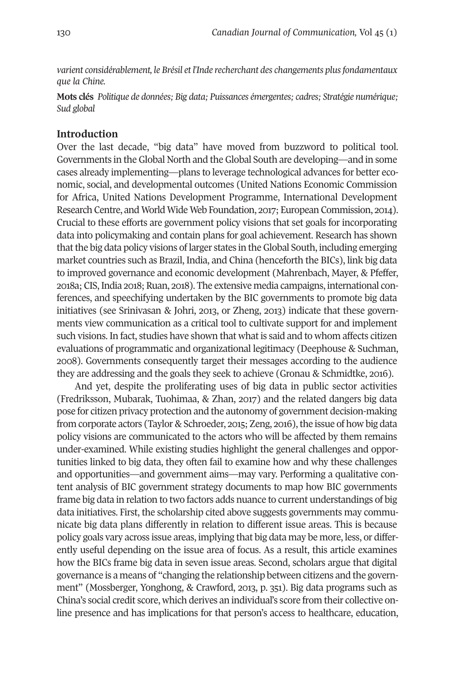*varient considérablement, le Brésil et l'Inde recherchant des changements plusfondamentaux que la Chine.*

**Mots clés** *Politique de données; Big data; Puissances émergentes; cadres; Stratégie numérique; Sud global*

# **Introduction**

Over the last decade, "big data" have moved from buzzword to political tool. Governments in the Global North and the Global South are developing—and in some cases already implementing—plans to leverage technological advances for better economic, social, and developmental outcomes (United Nations Economic Commission for Africa, United Nations Development Programme, International Development Research Centre, and World Wide Web Foundation, 2017; European Commission, 2014). Crucial to these efforts are government policy visions that set goals for incorporating data into policymaking and contain plans for goal achievement. Research has shown thatthe big data policy visions of larger states in theGlobal South, including emerging market countries such as Brazil, India, and China (henceforth the BICs), link big data to improved governance and economic development (Mahrenbach, Mayer, & Pfeffer, 2018a; CIS, India 2018; Ruan, 2018). The extensive media campaigns, international conferences, and speechifying undertaken by the BIC governments to promote big data initiatives (see Srinivasan & Johri, 2013, or Zheng, 2013) indicate that these governments view communication as a critical tool to cultivate support for and implement such visions. In fact, studies have shown that what is said and to whom affects citizen evaluations of programmatic and organizational legitimacy (Deephouse & Suchman, 2008). Governments consequently target their messages according to the audience they are addressing and the goals they seek to achieve (Gronau & Schmidtke, 2016).

And yet, despite the proliferating uses of big data in public sector activities (Fredriksson, Mubarak, Tuohimaa, & Zhan, 2017) and the related dangers big data pose for citizen privacy protection and the autonomy of government decision-making from corporate actors (Taylor & Schroeder, 2015; Zeng, 2016), the issue of how big data policy visions are communicated to the actors who will be affected by them remains under-examined. While existing studies highlight the general challenges and opportunities linked to big data, they often fail to examine how and why these challenges and opportunities—and government aims—may vary. Performing a qualitative content analysis of BIC government strategy documents to map how BIC governments frame big data in relation to two factors adds nuance to current understandings of big data initiatives. First, the scholarship cited above suggests governments may communicate big data plans differently in relation to different issue areas. This is because policy goals vary across issue areas, implying that big data may be more, less, or differently useful depending on the issue area of focus. As a result, this article examines how the BICs frame big data in seven issue areas. Second, scholars argue that digital governance is a means of "changing the relationship between citizens and the government" (Mossberger, Yonghong, & Crawford, 2013, p. 351). Big data programs such as China's social credit score, which derives an individual's score from their collective online presence and has implications for that person's access to healthcare, education,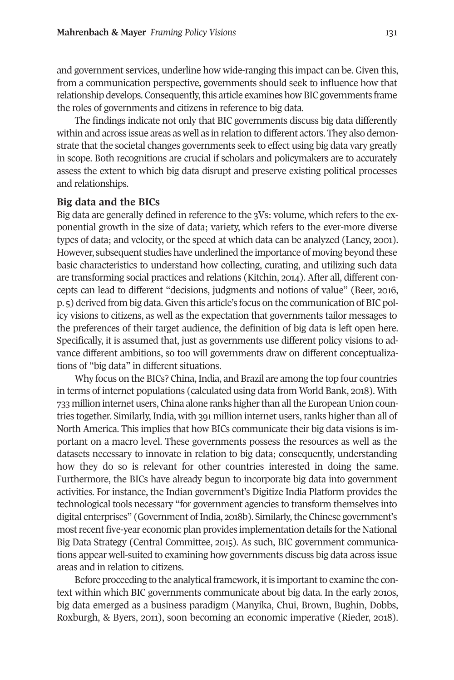and government services, underline how wide-ranging this impact can be. Given this, from a communication perspective, governments should seek to influence how that relationship develops. Consequently, this article examines how BIC governments frame the roles of governments and citizens in reference to big data.

The findings indicate not only that BIC governments discuss big data differently within and across issue areas as well as in relation to different actors. They also demonstrate that the societal changes governments seek to effect using big data vary greatly in scope. Both recognitions are crucial if scholars and policymakers are to accurately assess the extent to which big data disrupt and preserve existing political processes and relationships.

#### **Big data and the BICs**

Big data are generally defined in reference to the 3Vs: volume, which refers to the exponential growth in the size of data; variety, which refers to the ever-more diverse types of data; and velocity, or the speed at which data can be analyzed (Laney, 2001). However, subsequent studies have underlined the importance of moving beyond these basic characteristics to understand how collecting, curating, and utilizing such data are transforming social practices and relations (Kitchin, 2014). After all, different concepts can lead to different "decisions, judgments and notions of value" (Beer, 2016, p. 5) derived from big data.Given this article's focus on the communication of BIC policy visions to citizens, as well as the expectation that governments tailor messages to the preferences of their target audience, the definition of big data is left open here. Specifically, it is assumed that, just as governments use different policy visions to advance different ambitions, so too will governments draw on different conceptualizations of "big data" in different situations.

Why focus on the BICs? China, India, and Brazil are among the top four countries in terms of internet populations (calculated using data from World Bank, 2018). With 733 million internet users, China alone ranks higherthan allthe EuropeanUnion countries together. Similarly, India, with 391 million internet users, ranks higher than all of North America. This implies that how BICs communicate their big data visions is important on a macro level. These governments possess the resources as well as the datasets necessary to innovate in relation to big data; consequently, understanding how they do so is relevant for other countries interested in doing the same. Furthermore, the BICs have already begun to incorporate big data into government activities. For instance, the Indian government's Digitize India Platform provides the technological tools necessary "for government agencies to transform themselves into digital enterprises" (Government of India, 2018b). Similarly, the Chinese government's mostrecent five-year economic plan provides implementation details forthe National Big Data Strategy (Central Committee, 2015). As such, BIC government communications appear well-suited to examining how governments discuss big data across issue areas and in relation to citizens.

Before proceeding to the analytical framework, it is important to examine the context within which BIC governments communicate about big data. In the early 2010s, big data emerged as a business paradigm (Manyika, Chui, Brown, Bughin, Dobbs, Roxburgh, & Byers, 2011), soon becoming an economic imperative (Rieder, 2018).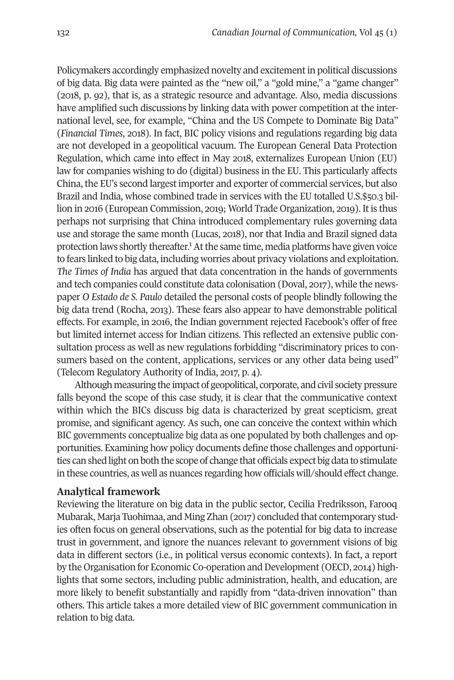Policymakers accordingly emphasized novelty and excitementin political discussions of big data. Big data were painted as the "new oil," a "gold mine," a "game changer" (2018, p. 92), that is, as a strategic resource and advantage. Also, media discussions have amplified such discussions by linking data with power competition at the international level, see, for example, "China and the US Compete to Dominate Big Data" (*Financial Times*, 2018). In fact, BIC policy visions and regulations regarding big data are not developed in a geopolitical vacuum. The European General Data Protection Regulation, which came into effect in May 2018, externalizes European Union (EU) law for companies wishing to do (digital) business in the EU. This particularly affects China, the EU's second largest importer and exporter of commercial services, but also Brazil and India, whose combined trade in services with the EU totalled U.S.\$50.3 billion in 2016 (European Commission, 2019; World Trade Organization, 2019). It is thus perhaps not surprising that China introduced complementary rules governing data use and storage the same month (Lucas, 2018), nor that India and Brazil signed data protection laws shortly thereafter.<sup>[1](#page-9-0)</sup> At the same time, media platforms have given voice to fears linked to big data, including worries about privacy violations and exploitation. *The Times of India* has argued that data concentration in the hands of governments and tech companies could constitute data colonisation (Doval, 2017), while the newspaper *O Estado de S. Paulo* detailed the personal costs of people blindly following the big data trend (Rocha, 2013). These fears also appear to have demonstrable political effects. For example, in 2016, the Indian government rejected Facebook's offer of free but limited internet access for Indian citizens. This reflected an extensive public consultation process as well as new regulations forbidding "discriminatory prices to consumers based on the content, applications, services or any other data being used" (Telecom Regulatory Authority of India, 2017, p. 4).

Although measuring the impact of geopolitical, corporate, and civil society pressure falls beyond the scope of this case study, it is clear that the communicative context within which the BICs discuss big data is characterized by great scepticism, great promise, and significant agency. As such, one can conceive the context within which BIC governments conceptualize big data as one populated by both challenges and opportunities. Examining how policy documents define those challenges and opportunities can shed light on both the scope of change that officials expect big data to stimulate in these countries, as well as nuances regarding how officials will/should effect change.

# **Analytical framework**

Reviewing the literature on big data in the public sector, Cecilia Fredriksson, Farooq Mubarak, Marja Tuohimaa, and Ming Zhan (2017) concluded that contemporary studies often focus on general observations, such as the potential for big data to increase trust in government, and ignore the nuances relevant to government visions of big data in different sectors (i.e., in political versus economic contexts). In fact, a report by the Organisation for Economic Co-operation and Development (OECD, 2014) highlights that some sectors, including public administration, health, and education, are more likely to benefit substantially and rapidly from "data-driven innovation" than others. This article takes a more detailed view of BIC government communication in relation to big data.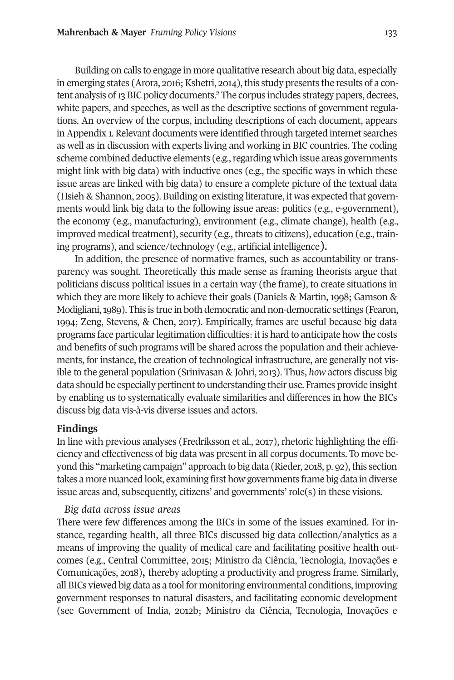Building on calls to engage in more qualitative research about big data, especially in emerging states (Arora, 2016; Kshetri, 2014), this study presents the results of a con-tent analysis of 13 BIC policy documents.<sup>[2](#page-9-1)</sup> The corpus includes strategy papers, decrees, white papers, and speeches, as well as the descriptive sections of government regulations. An overview of the corpus, including descriptions of each document, appears inAppendix 1.Relevant documents were identified through targeted internet searches as well as in discussion with experts living and working in BIC countries. The coding scheme combined deductive elements (e.g., regarding which issue areas governments might link with big data) with inductive ones (e.g., the specific ways in which these issue areas are linked with big data) to ensure a complete picture of the textual data (Hsieh & Shannon, 2005). Building on existing literature, it was expected that governments would link big data to the following issue areas: politics (e.g., e-government), the economy (e.g., manufacturing), environment (e.g., climate change), health (e.g., improved medical treatment), security (e.g., threats to citizens), education (e.g., training programs), and science/technology (e.g., artificial intelligence).

In addition, the presence of normative frames, such as accountability or transparency was sought. Theoretically this made sense as framing theorists argue that politicians discuss political issues in a certain way (the frame), to create situations in which they are more likely to achieve their goals (Daniels & Martin, 1998; Gamson & Modigliani,1989). This is true in both democratic and non-democratic settings (Fearon, 1994; Zeng, Stevens, & Chen, 2017). Empirically, frames are useful because big data programs face particularlegitimation difficulties: itis hard to anticipate how the costs and benefits of such programs will be shared across the population and their achievements, for instance, the creation of technological infrastructure, are generally not visible to the general population (Srinivasan & Johri, 2013). Thus, *how* actors discuss big data should be especially pertinent to understanding their use. Frames provide insight by enabling us to systematically evaluate similarities and differences in how the BICs discuss big data vis-à-vis diverse issues and actors.

#### **Findings**

In line with previous analyses (Fredriksson et al., 2017), rhetoric highlighting the efficiency and effectiveness of big data was present in all corpus documents. To move beyond this "marketing campaign" approach to big data (Rieder, 2018, p. 92), this section takes a more nuanced look, examining first how governments frame big data in diverse issue areas and, subsequently, citizens' and governments' role(s) in these visions.

# *Big data across issue areas*

There were few differences among the BICs in some of the issues examined. For instance, regarding health, all three BICs discussed big data collection/analytics as a means of improving the quality of medical care and facilitating positive health outcomes (e.g., Central Committee, 2015; Ministro da Ciência, Tecnologia, Inovações e Comunicações, 2018), thereby adopting a productivity and progress frame. Similarly, all BICs viewed big data as a tool for monitoring environmental conditions, improving government responses to natural disasters, and facilitating economic development (see Government of India, 2012b; Ministro da Ciência, Tecnologia, Inovações e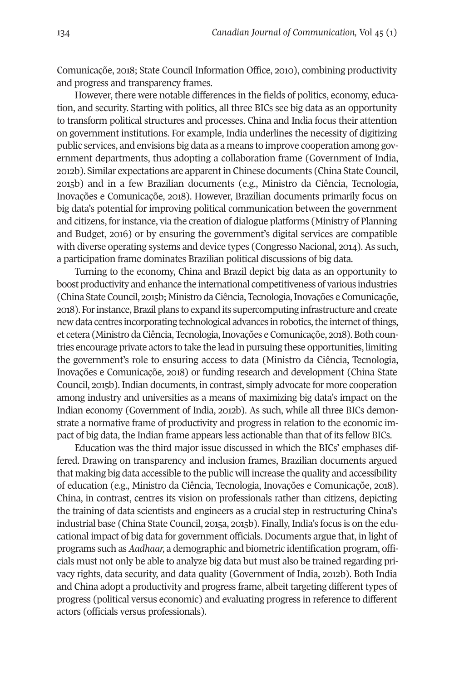Comunicaçõe, 2018; State Council Information Office, 2010), combining productivity and progress and transparency frames.

However, there were notable differences in the fields of politics, economy, education, and security. Starting with politics, all three BICs see big data as an opportunity to transform political structures and processes. China and India focus their attention on government institutions. For example, India underlines the necessity of digitizing public services, and envisions big data as a means to improve cooperation among government departments, thus adopting a collaboration frame (Government of India, 2012b). Similar expectations are apparentin Chinese documents (China State Council, 2015b) and in a few Brazilian documents (e.g., Ministro da Ciência, Tecnologia, Inovações e Comunicaçõe, 2018). However, Brazilian documents primarily focus on big data's potential for improving political communication between the government and citizens, for instance, via the creation of dialogue platforms (Ministry of Planning and Budget, 2016) or by ensuring the government's digital services are compatible with diverse operating systems and device types (Congresso Nacional, 2014). As such, a participation frame dominates Brazilian political discussions of big data.

Turning to the economy, China and Brazil depict big data as an opportunity to boost productivity and enhance the international competitiveness of various industries (China State Council, 2015b; Ministro da Ciência, Tecnologia,Inovações e Comunicaçõe, 2018). Forinstance,Brazil plans to expand its supercomputing infrastructure and create new data centres incorporating technological advances in robotics, the internet of things, et cetera (Ministro da Ciência, Tecnologia, Inovações e Comunicaçõe, 2018). Both countries encourage private actors to take the lead in pursuing these opportunities, limiting the government's role to ensuring access to data (Ministro da Ciência, Tecnologia, Inovações e Comunicaçõe, 2018) or funding research and development (China State Council, 2015b). Indian documents, in contrast, simply advocate for more cooperation among industry and universities as a means of maximizing big data's impact on the Indian economy (Government of India, 2012b). As such, while all three BICs demonstrate a normative frame of productivity and progress in relation to the economic impact of big data, the Indian frame appears less actionable than that of its fellow BICs.

Education was the third major issue discussed in which the BICs' emphases differed. Drawing on transparency and inclusion frames, Brazilian documents argued that making big data accessible to the public will increase the quality and accessibility of education (e.g., Ministro da Ciência, Tecnologia, Inovações e Comunicaçõe, 2018). China, in contrast, centres its vision on professionals rather than citizens, depicting the training of data scientists and engineers as a crucial step in restructuring China's industrial base (China State Council, 2015a, 2015b). Finally, India's focus is on the educational impact of big data for government officials. Documents argue that, in light of programs such as *Aadhaar,* a demographic and biometric identification program, officials must not only be able to analyze big data but must also be trained regarding privacy rights, data security, and data quality (Government of India, 2012b). Both India and China adopt a productivity and progress frame, albeit targeting different types of progress (political versus economic) and evaluating progress in reference to different actors (officials versus professionals).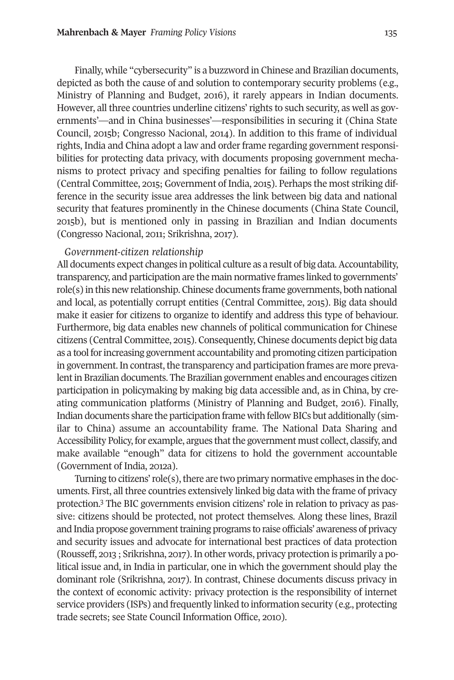Finally, while "cybersecurity" is a buzzword in Chinese and Brazilian documents, depicted as both the cause of and solution to contemporary security problems (e.g., Ministry of Planning and Budget, 2016), it rarely appears in Indian documents. However, all three countries underline citizens'rights to such security, as well as governments'—and in China businesses'—responsibilities in securing it (China State Council, 2015b; Congresso Nacional, 2014). In addition to this frame of individual rights, India and China adopt a law and order frame regarding government responsibilities for protecting data privacy, with documents proposing government mechanisms to protect privacy and specifing penalties for failing to follow regulations (Central Committee, 2015; Government of India, 2015). Perhaps the most striking difference in the security issue area addresses the link between big data and national security that features prominently in the Chinese documents (China State Council, 2015b), but is mentioned only in passing in Brazilian and Indian documents (Congresso Nacional, 2011; Srikrishna, 2017).

# *Government-citizen relationship*

All documents expect changes in political culture as a result of big data. Accountability, transparency, and participation are the main normative frames linked to governments' role(s) in this new relationship. Chinese documents frame governments, both national and local, as potentially corrupt entities (Central Committee, 2015). Big data should make it easier for citizens to organize to identify and address this type of behaviour. Furthermore, big data enables new channels of political communication for Chinese citizens (Central Committee, 2015). Consequently, Chinese documents depict big data as a tool forincreasing government accountability and promoting citizen participation in government. In contrast, the transparency and participation frames are more prevalentin Brazilian documents. The Brazilian government enables and encourages citizen participation in policymaking by making big data accessible and, as in China, by creating communication platforms (Ministry of Planning and Budget, 2016). Finally, Indian documents share the participation frame with fellow BICs but additionally (similar to China) assume an accountability frame. The National Data Sharing and Accessibility Policy, for example, argues that the government must collect, classify, and make available "enough" data for citizens to hold the government accountable (Government of India, 2012a).

Turning to citizens' role(s), there are two primary normative emphases in the documents. F[irs](#page-9-2)t, all three countries extensively linked big data with the frame of privacy protection. <sup>3</sup> The BIC governments envision citizens' role in relation to privacy as passive: citizens should be protected, not protect themselves. Along these lines, Brazil and India propose governmenttraining programs to raise officials' awareness of privacy and security issues and advocate for international best practices of data protection (Rousseff, 2013 ; Srikrishna, 2017).In other words, privacy protection is primarily a political issue and, in India in particular, one in which the government should play the dominant role (Srikrishna, 2017). In contrast, Chinese documents discuss privacy in the context of economic activity: privacy protection is the responsibility of internet service providers (ISPs) and frequently linked to information security (e.g., protecting trade secrets; see State Council Information Office, 2010).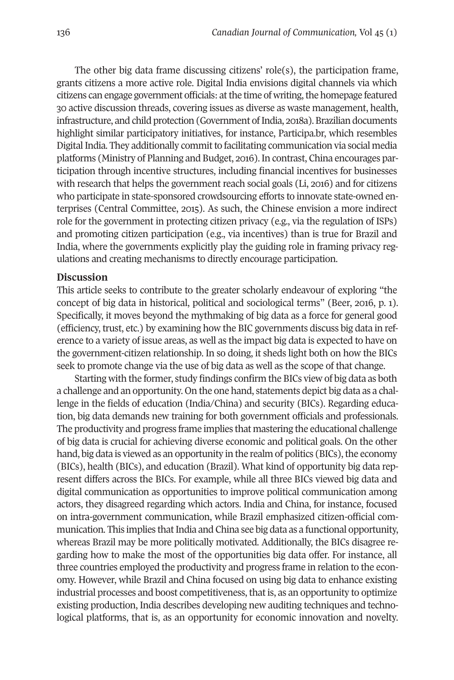The other big data frame discussing citizens' role(s), the participation frame, grants citizens a more active role. Digital India envisions digital channels via which citizens can engage government officials: atthe time of writing,the homepage featured 30 active discussion threads, covering issues as diverse as waste management, health, infrastructure, and child protection (Government of India, 2018a). Brazilian documents highlight similar participatory initiatives, for instance, Participa.br, which resembles Digital India. They additionally commit to facilitating communication via social media platforms (Ministry of Planning and Budget, 2016).In contrast, China encourages participation through incentive structures, including financial incentives for businesses with research that helps the government reach social goals (Li, 2016) and for citizens who participate in state-sponsored crowdsourcing efforts to innovate state-owned enterprises (Central Committee, 2015). As such, the Chinese envision a more indirect role for the government in protecting citizen privacy (e.g., via the regulation of ISPs) and promoting citizen participation (e.g., via incentives) than is true for Brazil and India, where the governments explicitly play the guiding role in framing privacy regulations and creating mechanisms to directly encourage participation.

# **Discussion**

This article seeks to contribute to the greater scholarly endeavour of exploring "the concept of big data in historical, political and sociological terms" (Beer, 2016, p. 1). Specifically, it moves beyond the mythmaking of big data as a force for general good (efficiency, trust, etc.) by examining how the BIC governments discuss big data in reference to a variety of issue areas, as well as the impact big data is expected to have on the government-citizen relationship. In so doing, it sheds light both on how the BICs seek to promote change via the use of big data as well as the scope of that change.

Starting with the former, study findings confirm the BICs view of big data as both a challenge and an opportunity. On the one hand, statements depict big data as a challenge in the fields of education (India/China) and security (BICs). Regarding education, big data demands new training for both government officials and professionals. The productivity and progress frame implies that mastering the educational challenge of big data is crucial for achieving diverse economic and political goals. On the other hand, big data is viewed as an opportunity in the realm of politics (BICs), the economy (BICs), health (BICs), and education (Brazil). What kind of opportunity big data represent differs across the BICs. For example, while all three BICs viewed big data and digital communication as opportunities to improve political communication among actors, they disagreed regarding which actors. India and China, for instance, focused on intra-government communication, while Brazil emphasized citizen-official communication. This implies that India and China see big data as a functional opportunity, whereas Brazil may be more politically motivated. Additionally, the BICs disagree regarding how to make the most of the opportunities big data offer. For instance, all three countries employed the productivity and progress frame in relation to the economy. However, while Brazil and China focused on using big data to enhance existing industrial processes and boost competitiveness, that is, as an opportunity to optimize existing production, India describes developing new auditing techniques and technological platforms, that is, as an opportunity for economic innovation and novelty.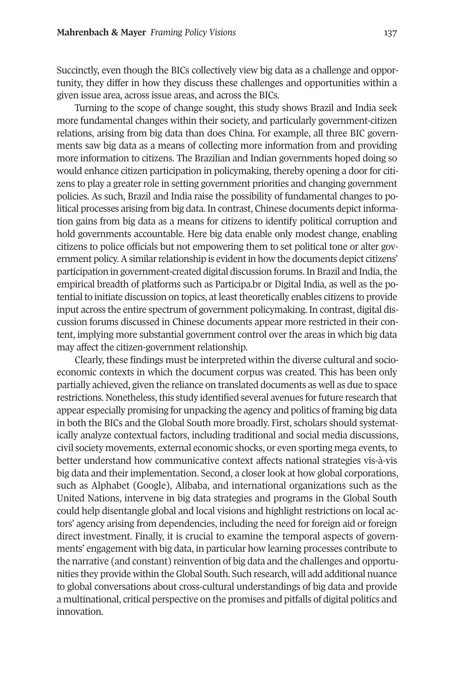Succinctly, even though the BICs collectively view big data as a challenge and opportunity, they differ in how they discuss these challenges and opportunities within a given issue area, across issue areas, and across the BICs.

Turning to the scope of change sought, this study shows Brazil and India seek more fundamental changes within their society, and particularly government-citizen relations, arising from big data than does China. For example, all three BIC governments saw big data as a means of collecting more information from and providing more information to citizens. The Brazilian and Indian governments hoped doing so would enhance citizen participation in policymaking, thereby opening a door for citizens to play a greater role in setting government priorities and changing government policies. As such, Brazil and India raise the possibility of fundamental changes to political processes arising from big data. In contrast, Chinese documents depict information gains from big data as a means for citizens to identify political corruption and hold governments accountable. Here big data enable only modest change, enabling citizens to police officials but not empowering them to set political tone or alter government policy. A similar relationship is evident in how the documents depict citizens' participation in government-created digital discussion forums. In Brazil and India, the empirical breadth of platforms such as Participa.br or Digital India, as well as the potential to initiate discussion on topics, at least theoretically enables citizens to provide input across the entire spectrum of government policymaking. In contrast, digital discussion forums discussed in Chinese documents appear more restricted in their content, implying more substantial government control over the areas in which big data may affect the citizen-government relationship.

Clearly, these findings must be interpreted within the diverse cultural and socioeconomic contexts in which the document corpus was created. This has been only partially achieved, given the reliance on translated documents as well as due to space restrictions. Nonetheless, this study identified several avenues for future research that appear especially promising for unpacking the agency and politics of framing big data in both the BICs and the Global South more broadly. First, scholars should systematically analyze contextual factors, including traditional and social media discussions, civil society movements, external economic shocks, or even sporting mega events, to better understand how communicative context affects national strategies vis-à-vis big data and their implementation. Second, a closer look at how global corporations, such as Alphabet (Google), Alibaba, and international organizations such as the United Nations, intervene in big data strategies and programs in the Global South could help disentangle global and local visions and highlight restrictions on local actors' agency arising from dependencies, including the need for foreign aid or foreign direct investment. Finally, it is crucial to examine the temporal aspects of governments' engagement with big data, in particular how learning processes contribute to the narrative (and constant) reinvention of big data and the challenges and opportunities they provide within the Global South. Such research, will add additional nuance to global conversations about cross-cultural understandings of big data and provide a multinational, critical perspective on the promises and pitfalls of digital politics and innovation.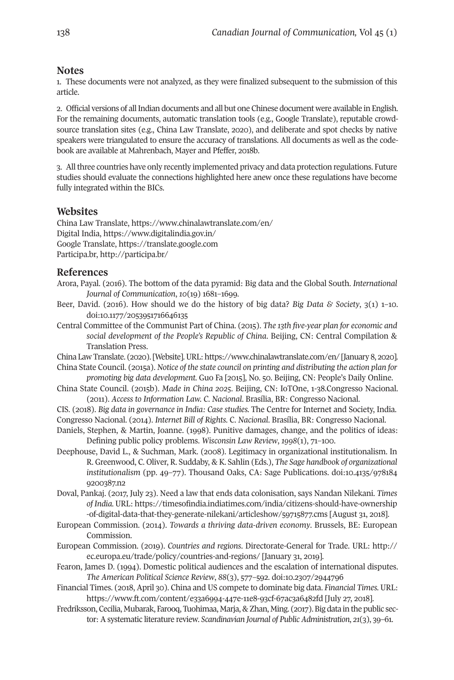# **Notes**

<span id="page-9-0"></span>1. These documents were not analyzed, as they were finalized subsequent to the submission of this article.

<span id="page-9-1"></span>2. Official versions of allIndian documents and all but one Chinese document were available in English. For the remaining documents, automatic translation tools (e.g., Google Translate), reputable crowdsource translation sites (e.g., China Law Translate, 2020), and deliberate and spot checks by native speakers were triangulated to ensure the accuracy of translations. All documents as well as the codebook are available at Mahrenbach, Mayer and Pfeffer, 2018b.

<span id="page-9-2"></span>3. Allthree countries have only recently implemented privacy and data protection regulations. Future studies should evaluate the connections highlighted here anew once these regulations have become fully integrated within the BICs.

# **Websites**

China Law Translate, <https://www.chinalawtranslate.com/en/> Digital India, <https://www.digitalindia.gov.in/> Google Translate, <https://translate.google.com> Participa.br, <http://participa.br/>

# **References**

- Arora, Payal. (2016). The bottom of the data pyramid: Big data and the Global South. *International Journal of Communication*, *10*(19) 1681–1699.
- Beer, David. (2016). How should we do the history of big data? *Big Data & Society*, 3(1) 1–10. doi[:10.1177/2053951716646135](http://doi.org/10.1177/2053951716646135)
- Central Committee of the Communist Part of China. (2015). *The 13th five-year plan for economic and social development of the People's Republic of China*. Beijing, CN: Central Compilation & Translation Press.

China Law Translate. (2020).[Website].URL: <https://www.chinalawtranslate.com/en/> [January 8, 2020].

- China State Council. (2015a). *Notice of the state council on printing and distributing the action plan for promoting big data development.* Guo Fa [2015], No. 50. Beijing, CN: People's Daily Online.
- China State Council. (2015b). *Made in China 2025*. Beijing, CN: IoTOne, 1-38.Congresso Nacional. (2011). *Access to Information Law. C*. *Nacional*. Brasília, BR: Congresso Nacional.
- CIS. (2018). *Big data in governance in India: Case studies.* The Centre for Internet and Society, India. Congresso Nacional. (2014). *Internet Bill of Rights.* C. *Nacional*. Brasília, BR: Congresso Nacional.
- Daniels, Stephen, & Martin, Joanne. (1998). Punitive damages, change, and the politics of ideas: Defining public policy problems. *Wisconsin Law Review*, *1998*(1), 71–100.
- Deephouse, David L., & Suchman, Mark. (2008). Legitimacy in organizational institutionalism. In R. Greenwood, C. Oliver, R. Suddaby, & K. Sahlin (Eds.), *The Sage handbook of organizational institutionalism* (pp. 49–77). Thousand Oaks, CA: Sage Publications. doi[:10.4135/978184](http://doi.org/10.4135/9781849200387.n2) [9200387.n2](http://doi.org/10.4135/9781849200387.n2)
- Doval, Pankaj. (2017, July 23). Need a law that ends data colonisation, says Nandan Nilekani. *Times of India.* URL: [https://timesofindia.indiatimes.com/india/citizens-should-have-ownership](https://timesofindia.indiatimes.com/india/citizens-should-have-ownership-of-digital-data-that-they-generate-nilekani/articleshow/59715877.cms) [-of-digital-data-that-they-generate-nilekani/articleshow/59715877.cms](https://timesofindia.indiatimes.com/india/citizens-should-have-ownership-of-digital-data-that-they-generate-nilekani/articleshow/59715877.cms) [August 31, 2018].
- European Commission. (2014). *Towards a thriving data-driven economy*. Brussels, BE: European Commission.
- European Commission. (2019). *Countries and regions*. Directorate-General for Trade. URL: [http://](http://ec.europa.eu/trade/policy/countries-and-regions) [ec.europa.eu/trade/policy/countries-and-regions/](http://ec.europa.eu/trade/policy/countries-and-regions) [January 31, 2019].
- Fearon, James D. (1994). Domestic political audiences and the escalation of international disputes. *The American Political Science Review*, *88*(3), 577–592. doi[:10.2307/2944796](http://doi.org/10.2307/2944796)
- Financial Times. (2018, April 30). China and US compete to dominate big data. *Financial Times.* URL: <https://www.ft.com/content/e33a6994-447e-11e8-93cf-67ac3a6482fd> [July 27, 2018].
- Fredriksson, Cecilia, Mubarak, Farooq, Tuohimaa, Marja, & Zhan, Ming. (2017). Big data in the public sector: A systematic literature review. *Scandinavian Journal of Public Administration*, *21*(3), 39–61.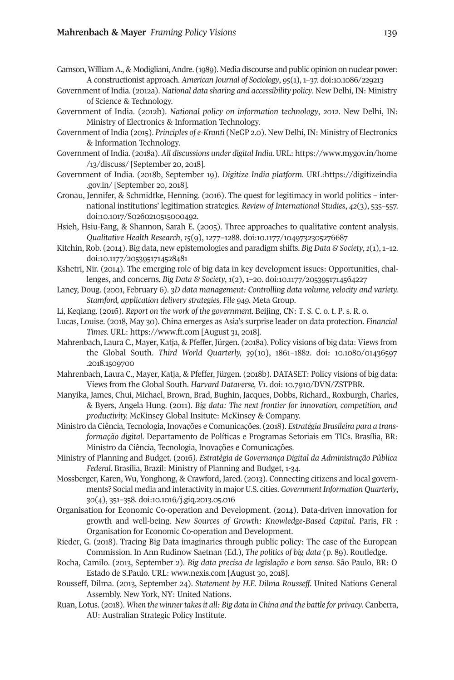- Gamson, William A., & Modigliani, Andre. (1989). Media discourse and public opinion on nuclear power: A constructionist approach. *American Journal of Sociology*, *95*(1), 1–37. doi[:10.1086/229213](http://doi.org/10.1086/229213)
- Government of India. (2012a). *National data sharing and accessibility policy*. New Delhi, IN: Ministry of Science & Technology.
- Government of India. (2012b). *National policy on information technology*, *2012*. New Delhi, IN: Ministry of Electronics & Information Technology.
- Government of India (2015). *Principles of e-Kranti* (NeGP 2.0). New Delhi, IN: Ministry of Electronics & Information Technology.
- Government of India. (2018a). *All discussions under digital India.* URL: [https://www.mygov.in/home](https://www.mygov.in/home/13/discuss/) [/13/discuss/](https://www.mygov.in/home/13/discuss/) [September 20, 2018].
- Government of India. (2018b, September 19). *Digitize India platform.* URL[:https://digitizeindia](https://digitizeindia.gov.in/) [.gov.in/](https://digitizeindia.gov.in/) [September 20, 2018].
- Gronau, Jennifer, & Schmidtke, Henning. (2016). The quest for legitimacy in world politics international institutions' legitimation strategies. *Review of International Studies*, *42*(3), 535–557. doi[:10.1017/S0260210515000492.](http://doi.org/10.1017/S0260210515000492)
- Hsieh, Hsiu-Fang, & Shannon, Sarah E. (2005). Three approaches to qualitative content analysis. *Qualitative Health Research*, *15*(9), 1277–1288. doi[:10.1177/1049732305276687](http://doi.org/10.1177/1049732305276687)
- Kitchin, Rob. (2014). Big data, new epistemologies and paradigm shifts. *Big Data & Society*,*1*(1),1–12. doi[:10.1177/2053951714528481](http://doi.org/10.1177/2053951714528481)
- Kshetri, Nir. (2014). The emerging role of big data in key development issues: Opportunities, challenges, and concerns. *Big Data & Society*, *1*(2), 1–20. doi[:10.1177/2053951714564227](http://doi.org/10.1177/2053951714564227)
- Laney, Doug. (2001, February 6). *3D data management: Controlling data volume, velocity and variety. Stamford, application delivery strategies. File 949.* Meta Group.
- Li, Keqiang. (2016). *Report on the work of the government.* Beijing, CN: T. S. C. o. t. P. s. R. o.
- Lucas, Louise. (2018, May 30). China emerges as Asia's surprise leader on data protection. *Financial Times.* URL: <https://www.ft.com> [August 31, 2018].
- Mahrenbach, Laura C., Mayer, Katja, & Pfeffer, Jürgen. (2018a). Policy visions of big data: Views from the Global South. *Third World Quarterly, 39*(10), 1861–1882. doi: [10.1080/01436597](http://doi.org/10.1080/01436597.2018.1509700) [.2018.1509700](http://doi.org/10.1080/01436597.2018.1509700)
- Mahrenbach, Laura C., Mayer, Katja, & Pfeffer, Jürgen. (2018b). DATASET: Policy visions of big data: Views from the Global South. *Harvard Dataverse, V1.* doi: [10.7910/DVN/ZSTPBR.](http://doi.org/10.7910/DVN/ZSTPBR)
- Manyika, James, Chui, Michael, Brown, Brad, Bughin, Jacques, Dobbs, Richard., Roxburgh, Charles, & Byers, Angela Hung. (2011). *Big data: The next frontier for innovation, competition, and productivity.* McKinsey Global Insitute: McKinsey & Company.
- Ministro da Ciência, Tecnologia, Inovações e Comunicações. (2018). *Estratégia Brasileira para a transformação digital*. Departamento de Políticas e Programas Setoriais em TICs. Brasília, BR: Ministro da Ciência, Tecnologia, Inovações e Comunicações.
- Ministry of Planning and Budget. (2016*). Estratégia de Governança Digital da Administração Pública Federal*. Brasília, Brazil: Ministry of Planning and Budget, 1-34.
- Mossberger, Karen, Wu, Yonghong, & Crawford, Jared. (2013). Connecting citizens and local governments? Social media and interactivity in major U.S. cities. *Government Information Quarterly*, *30*(4), 351–358. doi[:10.1016/j.giq.2013.05.016](http://doi.org/10.1016/j.giq.2013.05.016)
- Organisation for Economic Co-operation and Development. (2014). Data-driven innovation for growth and well-being. *New Sources of Growth: Knowledge-Based Capital*. Paris, FR : Organisation for Economic Co-operation and Development.
- Rieder, G. (2018). Tracing Big Data imaginaries through public policy: The case of the European Commission. In Ann Rudinow Saetnan (Ed.), *The politics of big data* (p. 89). Routledge.
- Rocha, Camilo. (2013, September 2). *Big data precisa de legislação e bom senso.* São Paulo, BR: O Estado de S.Paulo. URL: [www.nexis.com](http://www.nexis.com) [August 30, 2018].
- Rousseff, Dilma. (2013, September 24). *Statement by H.E. Dilma Rousseff*. United Nations General Assembly. New York, NY: United Nations.
- Ruan, Lotus. (2018). *When the winnertakesit all: Big data in China and the battle for privacy*. Canberra, AU: Australian Strategic Policy Institute.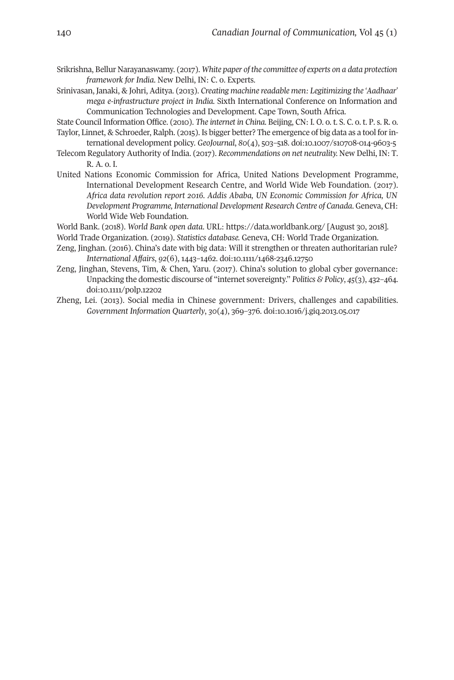- Srikrishna, Bellur Narayanaswamy. (2017). *White paper of the committee of experts on a data protection framework for India*. New Delhi, IN: C. o. Experts.
- Srinivasan, Janaki, & Johri, Aditya. (2013). *Creating machine readable men: Legitimizing the 'Aadhaar' mega e-infrastructure project in India.* Sixth International Conference on Information and Communication Technologies and Development. Cape Town, South Africa.
- State Council Information Office. (2010). *The internet in China.* Beijing, CN: I. O. o. t. S. C. o. t. P. s. R. o. Taylor, Linnet, & Schroeder, Ralph. (2015). Is bigger better? The emergence of big data as a tool forin-
- ternational development policy. *GeoJournal*, *80*(4), 503–518. doi[:10.1007/s10708-014-9603-5](http://doi.org/10.1007/s10708-014-9603-5)
- Telecom Regulatory Authority of India. (2017). *Recommendations on net neutrality.* New Delhi, IN: T. R. A. o. I.
- United Nations Economic Commission for Africa, United Nations Development Programme, International Development Research Centre, and World Wide Web Foundation. (2017). *Africa data revolution report 2016. Addis Ababa, UN Economic Commission for Africa, UN Development Programme, International Development Research Centre of Canada*. Geneva, CH: World Wide Web Foundation.
- World Bank. (2018). *World Bank open data*. URL: [https://data.worldbank.org/](http://doi.org/https://data.worldbank.org) [August 30, 2018].
- World Trade Organization. (2019). *Statistics database.* Geneva, CH: World Trade Organization.
- Zeng, Jinghan. (2016). China's date with big data: Will it strengthen or threaten authoritarian rule? *International Affairs*, *92*(6), 1443–1462. doi[:10.1111/1468-2346.12750](http://doi.org/10.1111/1468-2346.12750)
- Zeng, Jinghan, Stevens, Tim, & Chen, Yaru. (2017). China's solution to global cyber governance: Unpacking the domestic discourse of "internet sovereignty." *Politics & Policy*, *45*(3), 432–464. doi[:10.1111/polp.12202](http://doi.org/10.1111/polp.12202)
- Zheng, Lei. (2013). Social media in Chinese government: Drivers, challenges and capabilities. *Government Information Quarterly*, *30*(4), 369–376. doi[:10.1016/j.giq.2013.05.017](http://doi.org/10.1016/j.giq.2013.05.017)